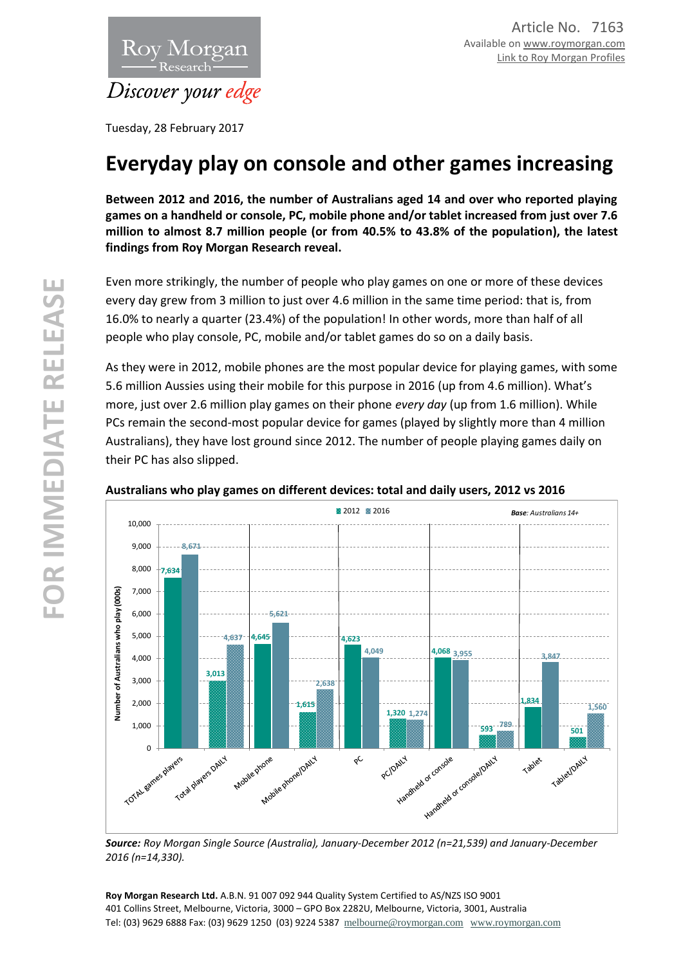

Tuesday, 28 February 2017

# **Everyday play on console and other games increasing**

**Between 2012 and 2016, the number of Australians aged 14 and over who reported playing games on a handheld or console, PC, mobile phone and/or tablet increased from just over 7.6 million to almost 8.7 million people (or from 40.5% to 43.8% of the population), the latest findings from Roy Morgan Research reveal.**

Even more strikingly, the number of people who play games on one or more of these devices every day grew from 3 million to just over 4.6 million in the same time period: that is, from 16.0% to nearly a quarter (23.4%) of the population! In other words, more than half of all people who play console, PC, mobile and/or tablet games do so on a daily basis.

As they were in 2012, mobile phones are the most popular device for playing games, with some 5.6 million Aussies using their mobile for this purpose in 2016 (up from 4.6 million). What's more, just over 2.6 million play games on their phone *every day* (up from 1.6 million). While PCs remain the second-most popular device for games (played by slightly more than 4 million Australians), they have lost ground since 2012. The number of people playing games daily on their PC has also slipped.



### **Australians who play games on different devices: total and daily users, 2012 vs 2016**

*Source: Roy Morgan Single Source (Australia), January-December 2012 (n=21,539) and January-December 2016 (n=14,330).* 

**Roy Morgan Research Ltd.** A.B.N. 91 007 092 944 Quality System Certified to AS/NZS ISO 9001 401 Collins Street, Melbourne, Victoria, 3000 – GPO Box 2282U, Melbourne, Victoria, 3001, Australia Tel: (03) 9629 6888 Fax: (03) 9629 1250 (03) 9224 5387 [melbourne@roymorgan.com](mailto:melbourne@roymorgan.com) [www.roymorgan.com](http://www.roymorgan.com/)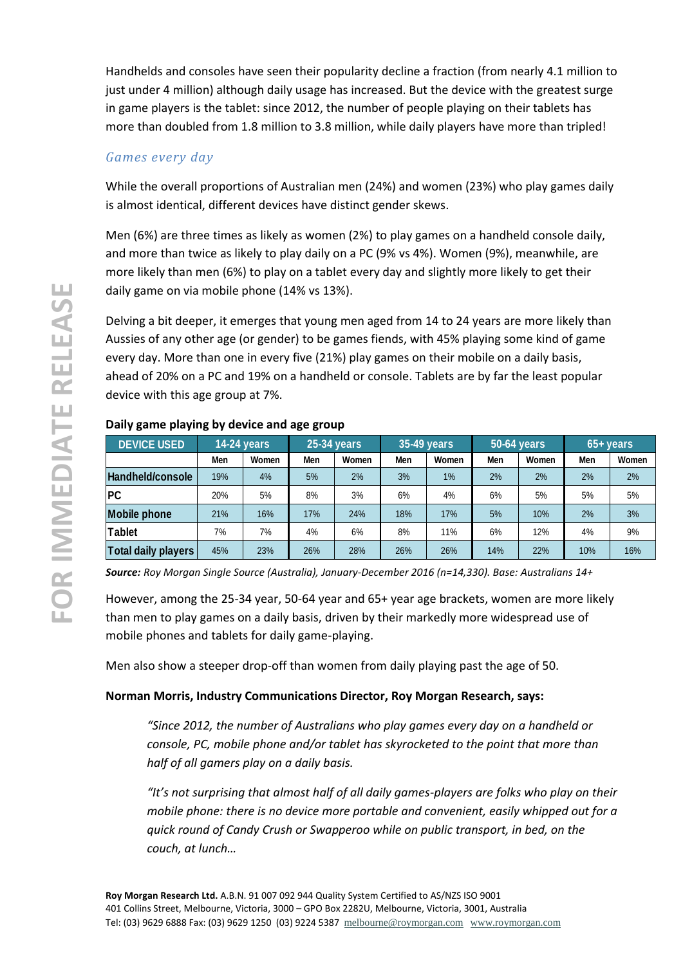Handhelds and consoles have seen their popularity decline a fraction (from nearly 4.1 million to just under 4 million) although daily usage has increased. But the device with the greatest surge in game players is the tablet: since 2012, the number of people playing on their tablets has more than doubled from 1.8 million to 3.8 million, while daily players have more than tripled!

## *Games every day*

While the overall proportions of Australian men (24%) and women (23%) who play games daily is almost identical, different devices have distinct gender skews.

Men (6%) are three times as likely as women (2%) to play games on a handheld console daily, and more than twice as likely to play daily on a PC (9% vs 4%). Women (9%), meanwhile, are more likely than men (6%) to play on a tablet every day and slightly more likely to get their daily game on via mobile phone (14% vs 13%).

Delving a bit deeper, it emerges that young men aged from 14 to 24 years are more likely than Aussies of any other age (or gender) to be games fiends, with 45% playing some kind of game every day. More than one in every five (21%) play games on their mobile on a daily basis, ahead of 20% on a PC and 19% on a handheld or console. Tablets are by far the least popular device with this age group at 7%.

| <b>DEVICE USED</b>         | 14-24 years |       | 25-34 years |       | 35-49 years |       | 50-64 years |       | 65+ years |       |
|----------------------------|-------------|-------|-------------|-------|-------------|-------|-------------|-------|-----------|-------|
|                            | Men         | Women | Men         | Women | Men         | Women | Men         | Women | Men       | Women |
| Handheld/console           | 19%         | 4%    | 5%          | 2%    | 3%          | $1\%$ | 2%          | 2%    | 2%        | 2%    |
| <b>PC</b>                  | 20%         | 5%    | 8%          | 3%    | 6%          | 4%    | 6%          | 5%    | 5%        | 5%    |
| <b>Mobile phone</b>        | 21%         | 16%   | 17%         | 24%   | 18%         | 17%   | 5%          | 10%   | 2%        | 3%    |
| <b>Tablet</b>              | 7%          | 7%    | 4%          | 6%    | 8%          | 11%   | 6%          | 12%   | 4%        | 9%    |
| <b>Total daily players</b> | 45%         | 23%   | 26%         | 28%   | 26%         | 26%   | 14%         | 22%   | 10%       | 16%   |

## **Daily game playing by device and age group**

*Source: Roy Morgan Single Source (Australia), January-December 2016 (n=14,330). Base: Australians 14+*

However, among the 25-34 year, 50-64 year and 65+ year age brackets, women are more likely than men to play games on a daily basis, driven by their markedly more widespread use of mobile phones and tablets for daily game-playing.

Men also show a steeper drop-off than women from daily playing past the age of 50.

## **Norman Morris, Industry Communications Director, Roy Morgan Research, says:**

*"Since 2012, the number of Australians who play games every day on a handheld or console, PC, mobile phone and/or tablet has skyrocketed to the point that more than half of all gamers play on a daily basis.*

*"It's not surprising that almost half of all daily games-players are folks who play on their mobile phone: there is no device more portable and convenient, easily whipped out for a quick round of Candy Crush or Swapperoo while on public transport, in bed, on the couch, at lunch…*